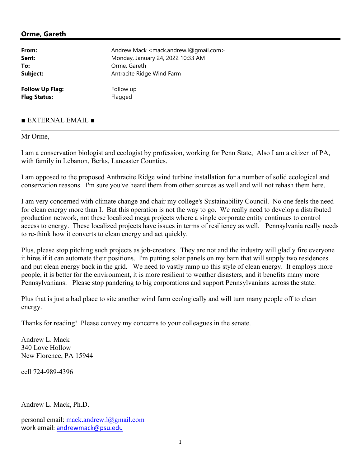## Orme, Gareth

| From:                  | Andrew Mack <mack.andrew.l@gmail.com></mack.andrew.l@gmail.com> |
|------------------------|-----------------------------------------------------------------|
| Sent:                  | Monday, January 24, 2022 10:33 AM                               |
| To:                    | Orme, Gareth                                                    |
| Subject:               | Antracite Ridge Wind Farm                                       |
| <b>Follow Up Flag:</b> | Follow up                                                       |
| <b>Flag Status:</b>    | Flagged                                                         |

## ■ EXTERNAL EMAIL ■

## Mr Orme,

I am a conservation biologist and ecologist by profession, working for Penn State, Also I am a citizen of PA, with family in Lebanon, Berks, Lancaster Counties.

I am opposed to the proposed Anthracite Ridge wind turbine installation for a number of solid ecological and conservation reasons. I'm sure you've heard them from other sources as well and will not rehash them here.

I am very concerned with climate change and chair my college's Sustainability Council. No one feels the need for clean energy more than I. But this operation is not the way to go. We really need to develop a distributed production network, not these localized mega projects where a single corporate entity continues to control access to energy. These localized projects have issues in terms of resiliency as well. Pennsylvania really needs to re-think how it converts to clean energy and act quickly.

Plus, please stop pitching such projects as job-creators. They are not and the industry will gladly fire everyone it hires if it can automate their positions. I'm putting solar panels on my barn that will supply two residences and put clean energy back in the grid. We need to vastly ramp up this style of clean energy. It employs more people, it is better for the environment, it is more resilient to weather disasters, and it benefits many more Pennsylvanians. Please stop pandering to big corporations and support Pennsylvanians across the state.

Plus that is just a bad place to site another wind farm ecologically and will turn many people off to clean energy.

Thanks for reading! Please convey my concerns to your colleagues in the senate.

Andrew L. Mack 340 Love Hollow New Florence, PA 15944

cell 724-989-4396

--

Andrew L. Mack, Ph.D.

personal email: mack.andrew.l@gmail.com work email: andrewmack@psu.edu